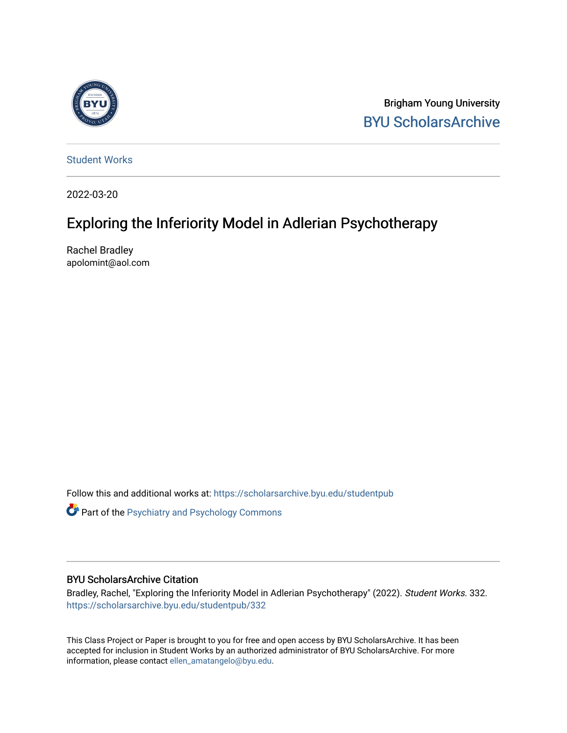

Brigham Young University [BYU ScholarsArchive](https://scholarsarchive.byu.edu/) 

[Student Works](https://scholarsarchive.byu.edu/studentpub)

2022-03-20

# Exploring the Inferiority Model in Adlerian Psychotherapy

Rachel Bradley apolomint@aol.com

Follow this and additional works at: [https://scholarsarchive.byu.edu/studentpub](https://scholarsarchive.byu.edu/studentpub?utm_source=scholarsarchive.byu.edu%2Fstudentpub%2F332&utm_medium=PDF&utm_campaign=PDFCoverPages)

**Part of the Psychiatry and Psychology Commons** 

## BYU ScholarsArchive Citation

Bradley, Rachel, "Exploring the Inferiority Model in Adlerian Psychotherapy" (2022). Student Works. 332. [https://scholarsarchive.byu.edu/studentpub/332](https://scholarsarchive.byu.edu/studentpub/332?utm_source=scholarsarchive.byu.edu%2Fstudentpub%2F332&utm_medium=PDF&utm_campaign=PDFCoverPages)

This Class Project or Paper is brought to you for free and open access by BYU ScholarsArchive. It has been accepted for inclusion in Student Works by an authorized administrator of BYU ScholarsArchive. For more information, please contact [ellen\\_amatangelo@byu.edu.](mailto:ellen_amatangelo@byu.edu)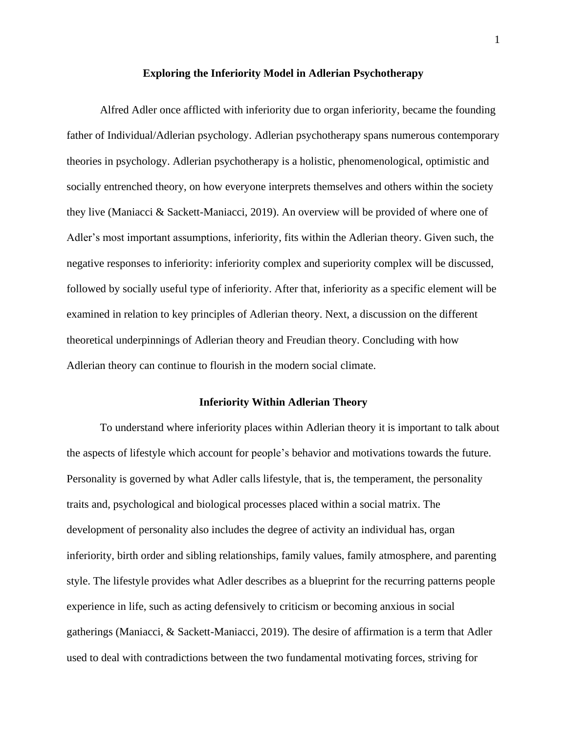#### **Exploring the Inferiority Model in Adlerian Psychotherapy**

Alfred Adler once afflicted with inferiority due to organ inferiority, became the founding father of Individual/Adlerian psychology. Adlerian psychotherapy spans numerous contemporary theories in psychology. Adlerian psychotherapy is a holistic, phenomenological, optimistic and socially entrenched theory, on how everyone interprets themselves and others within the society they live (Maniacci & Sackett-Maniacci, 2019). An overview will be provided of where one of Adler's most important assumptions, inferiority, fits within the Adlerian theory. Given such, the negative responses to inferiority: inferiority complex and superiority complex will be discussed, followed by socially useful type of inferiority. After that, inferiority as a specific element will be examined in relation to key principles of Adlerian theory. Next, a discussion on the different theoretical underpinnings of Adlerian theory and Freudian theory. Concluding with how Adlerian theory can continue to flourish in the modern social climate.

# **Inferiority Within Adlerian Theory**

To understand where inferiority places within Adlerian theory it is important to talk about the aspects of lifestyle which account for people's behavior and motivations towards the future. Personality is governed by what Adler calls lifestyle, that is, the temperament, the personality traits and, psychological and biological processes placed within a social matrix. The development of personality also includes the degree of activity an individual has, organ inferiority, birth order and sibling relationships, family values, family atmosphere, and parenting style. The lifestyle provides what Adler describes as a blueprint for the recurring patterns people experience in life, such as acting defensively to criticism or becoming anxious in social gatherings (Maniacci, & Sackett-Maniacci, 2019). The desire of affirmation is a term that Adler used to deal with contradictions between the two fundamental motivating forces, striving for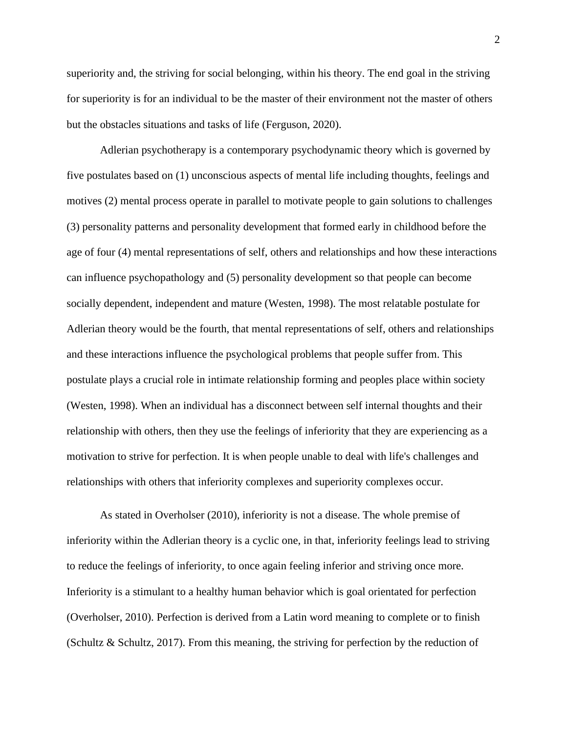superiority and, the striving for social belonging, within his theory. The end goal in the striving for superiority is for an individual to be the master of their environment not the master of others but the obstacles situations and tasks of life (Ferguson, 2020).

Adlerian psychotherapy is a contemporary psychodynamic theory which is governed by five postulates based on (1) unconscious aspects of mental life including thoughts, feelings and motives (2) mental process operate in parallel to motivate people to gain solutions to challenges (3) personality patterns and personality development that formed early in childhood before the age of four (4) mental representations of self, others and relationships and how these interactions can influence psychopathology and (5) personality development so that people can become socially dependent, independent and mature (Westen, 1998). The most relatable postulate for Adlerian theory would be the fourth, that mental representations of self, others and relationships and these interactions influence the psychological problems that people suffer from. This postulate plays a crucial role in intimate relationship forming and peoples place within society (Westen, 1998). When an individual has a disconnect between self internal thoughts and their relationship with others, then they use the feelings of inferiority that they are experiencing as a motivation to strive for perfection. It is when people unable to deal with life's challenges and relationships with others that inferiority complexes and superiority complexes occur.

As stated in Overholser (2010), inferiority is not a disease. The whole premise of inferiority within the Adlerian theory is a cyclic one, in that, inferiority feelings lead to striving to reduce the feelings of inferiority, to once again feeling inferior and striving once more. Inferiority is a stimulant to a healthy human behavior which is goal orientated for perfection (Overholser, 2010). Perfection is derived from a Latin word meaning to complete or to finish (Schultz & Schultz, 2017). From this meaning, the striving for perfection by the reduction of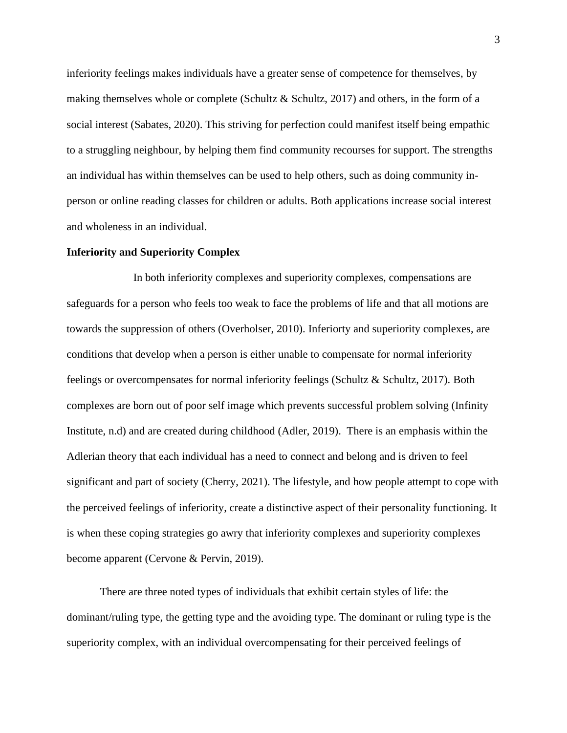inferiority feelings makes individuals have a greater sense of competence for themselves, by making themselves whole or complete (Schultz & Schultz, 2017) and others, in the form of a social interest (Sabates, 2020). This striving for perfection could manifest itself being empathic to a struggling neighbour, by helping them find community recourses for support. The strengths an individual has within themselves can be used to help others, such as doing community inperson or online reading classes for children or adults. Both applications increase social interest and wholeness in an individual.

#### **Inferiority and Superiority Complex**

In both inferiority complexes and superiority complexes, compensations are safeguards for a person who feels too weak to face the problems of life and that all motions are towards the suppression of others (Overholser, 2010). Inferiorty and superiority complexes, are conditions that develop when a person is either unable to compensate for normal inferiority feelings or overcompensates for normal inferiority feelings (Schultz & Schultz, 2017). Both complexes are born out of poor self image which prevents successful problem solving (Infinity Institute, n.d) and are created during childhood (Adler, 2019). There is an emphasis within the Adlerian theory that each individual has a need to connect and belong and is driven to feel significant and part of society (Cherry, 2021). The lifestyle, and how people attempt to cope with the perceived feelings of inferiority, create a distinctive aspect of their personality functioning. It is when these coping strategies go awry that inferiority complexes and superiority complexes become apparent (Cervone & Pervin, 2019).

There are three noted types of individuals that exhibit certain styles of life: the dominant/ruling type, the getting type and the avoiding type. The dominant or ruling type is the superiority complex, with an individual overcompensating for their perceived feelings of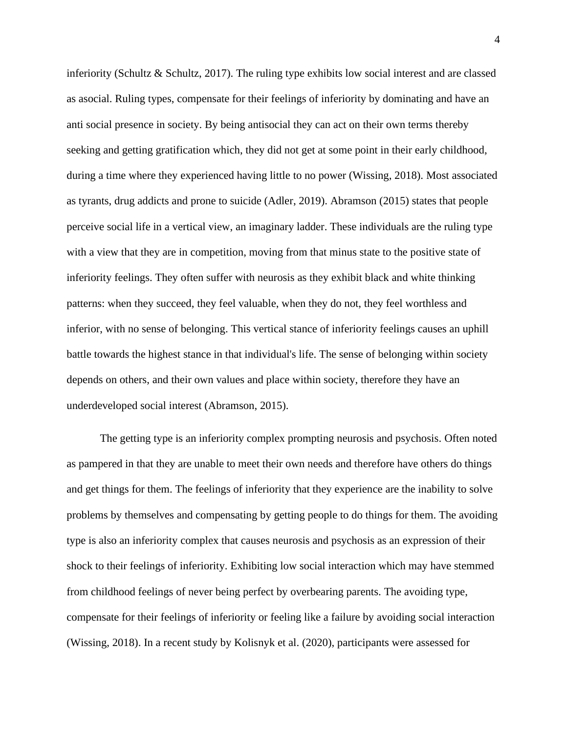inferiority (Schultz & Schultz, 2017). The ruling type exhibits low social interest and are classed as asocial. Ruling types, compensate for their feelings of inferiority by dominating and have an anti social presence in society. By being antisocial they can act on their own terms thereby seeking and getting gratification which, they did not get at some point in their early childhood, during a time where they experienced having little to no power (Wissing, 2018). Most associated as tyrants, drug addicts and prone to suicide (Adler, 2019). Abramson (2015) states that people perceive social life in a vertical view, an imaginary ladder. These individuals are the ruling type with a view that they are in competition, moving from that minus state to the positive state of inferiority feelings. They often suffer with neurosis as they exhibit black and white thinking patterns: when they succeed, they feel valuable, when they do not, they feel worthless and inferior, with no sense of belonging. This vertical stance of inferiority feelings causes an uphill battle towards the highest stance in that individual's life. The sense of belonging within society depends on others, and their own values and place within society, therefore they have an underdeveloped social interest (Abramson, 2015).

The getting type is an inferiority complex prompting neurosis and psychosis. Often noted as pampered in that they are unable to meet their own needs and therefore have others do things and get things for them. The feelings of inferiority that they experience are the inability to solve problems by themselves and compensating by getting people to do things for them. The avoiding type is also an inferiority complex that causes neurosis and psychosis as an expression of their shock to their feelings of inferiority. Exhibiting low social interaction which may have stemmed from childhood feelings of never being perfect by overbearing parents. The avoiding type, compensate for their feelings of inferiority or feeling like a failure by avoiding social interaction (Wissing, 2018). In a recent study by Kolisnyk et al. (2020), participants were assessed for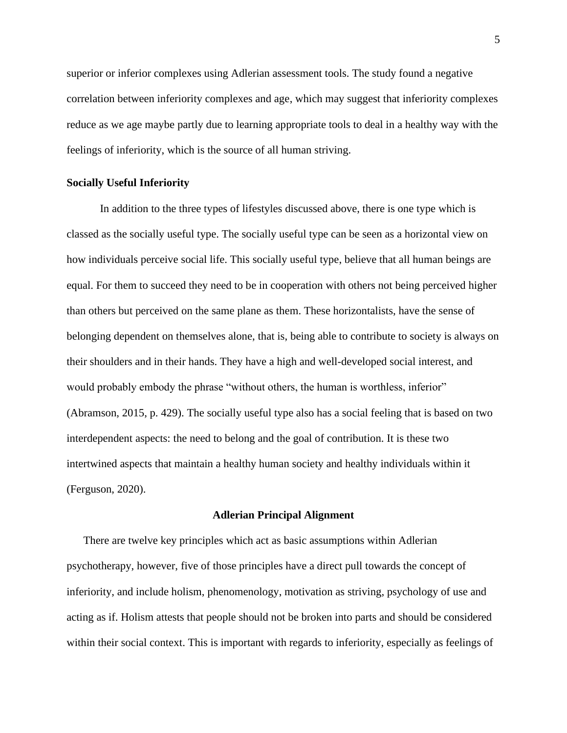superior or inferior complexes using Adlerian assessment tools. The study found a negative correlation between inferiority complexes and age, which may suggest that inferiority complexes reduce as we age maybe partly due to learning appropriate tools to deal in a healthy way with the feelings of inferiority, which is the source of all human striving.

## **Socially Useful Inferiority**

In addition to the three types of lifestyles discussed above, there is one type which is classed as the socially useful type. The socially useful type can be seen as a horizontal view on how individuals perceive social life. This socially useful type, believe that all human beings are equal. For them to succeed they need to be in cooperation with others not being perceived higher than others but perceived on the same plane as them. These horizontalists, have the sense of belonging dependent on themselves alone, that is, being able to contribute to society is always on their shoulders and in their hands. They have a high and well-developed social interest, and would probably embody the phrase "without others, the human is worthless, inferior" (Abramson, 2015, p. 429). The socially useful type also has a social feeling that is based on two interdependent aspects: the need to belong and the goal of contribution. It is these two intertwined aspects that maintain a healthy human society and healthy individuals within it (Ferguson, 2020).

#### **Adlerian Principal Alignment**

There are twelve key principles which act as basic assumptions within Adlerian psychotherapy, however, five of those principles have a direct pull towards the concept of inferiority, and include holism, phenomenology, motivation as striving, psychology of use and acting as if. Holism attests that people should not be broken into parts and should be considered within their social context. This is important with regards to inferiority, especially as feelings of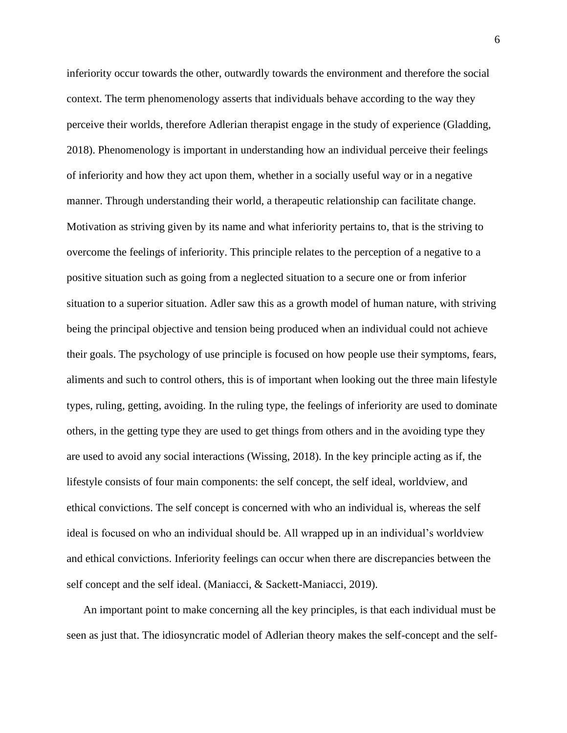inferiority occur towards the other, outwardly towards the environment and therefore the social context. The term phenomenology asserts that individuals behave according to the way they perceive their worlds, therefore Adlerian therapist engage in the study of experience (Gladding, 2018). Phenomenology is important in understanding how an individual perceive their feelings of inferiority and how they act upon them, whether in a socially useful way or in a negative manner. Through understanding their world, a therapeutic relationship can facilitate change. Motivation as striving given by its name and what inferiority pertains to, that is the striving to overcome the feelings of inferiority. This principle relates to the perception of a negative to a positive situation such as going from a neglected situation to a secure one or from inferior situation to a superior situation. Adler saw this as a growth model of human nature, with striving being the principal objective and tension being produced when an individual could not achieve their goals. The psychology of use principle is focused on how people use their symptoms, fears, aliments and such to control others, this is of important when looking out the three main lifestyle types, ruling, getting, avoiding. In the ruling type, the feelings of inferiority are used to dominate others, in the getting type they are used to get things from others and in the avoiding type they are used to avoid any social interactions (Wissing, 2018). In the key principle acting as if, the lifestyle consists of four main components: the self concept, the self ideal, worldview, and ethical convictions. The self concept is concerned with who an individual is, whereas the self ideal is focused on who an individual should be. All wrapped up in an individual's worldview and ethical convictions. Inferiority feelings can occur when there are discrepancies between the self concept and the self ideal. (Maniacci, & Sackett-Maniacci, 2019).

An important point to make concerning all the key principles, is that each individual must be seen as just that. The idiosyncratic model of Adlerian theory makes the self-concept and the self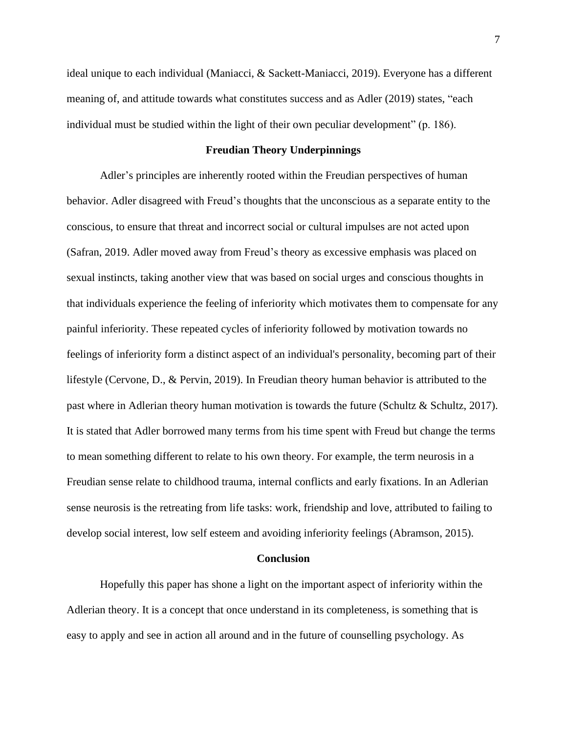ideal unique to each individual (Maniacci, & Sackett-Maniacci, 2019). Everyone has a different meaning of, and attitude towards what constitutes success and as Adler (2019) states, "each individual must be studied within the light of their own peculiar development" (p. 186).

## **Freudian Theory Underpinnings**

Adler's principles are inherently rooted within the Freudian perspectives of human behavior. Adler disagreed with Freud's thoughts that the unconscious as a separate entity to the conscious, to ensure that threat and incorrect social or cultural impulses are not acted upon (Safran, 2019. Adler moved away from Freud's theory as excessive emphasis was placed on sexual instincts, taking another view that was based on social urges and conscious thoughts in that individuals experience the feeling of inferiority which motivates them to compensate for any painful inferiority. These repeated cycles of inferiority followed by motivation towards no feelings of inferiority form a distinct aspect of an individual's personality, becoming part of their lifestyle (Cervone, D., & Pervin, 2019). In Freudian theory human behavior is attributed to the past where in Adlerian theory human motivation is towards the future (Schultz & Schultz, 2017). It is stated that Adler borrowed many terms from his time spent with Freud but change the terms to mean something different to relate to his own theory. For example, the term neurosis in a Freudian sense relate to childhood trauma, internal conflicts and early fixations. In an Adlerian sense neurosis is the retreating from life tasks: work, friendship and love, attributed to failing to develop social interest, low self esteem and avoiding inferiority feelings (Abramson, 2015).

## **Conclusion**

Hopefully this paper has shone a light on the important aspect of inferiority within the Adlerian theory. It is a concept that once understand in its completeness, is something that is easy to apply and see in action all around and in the future of counselling psychology. As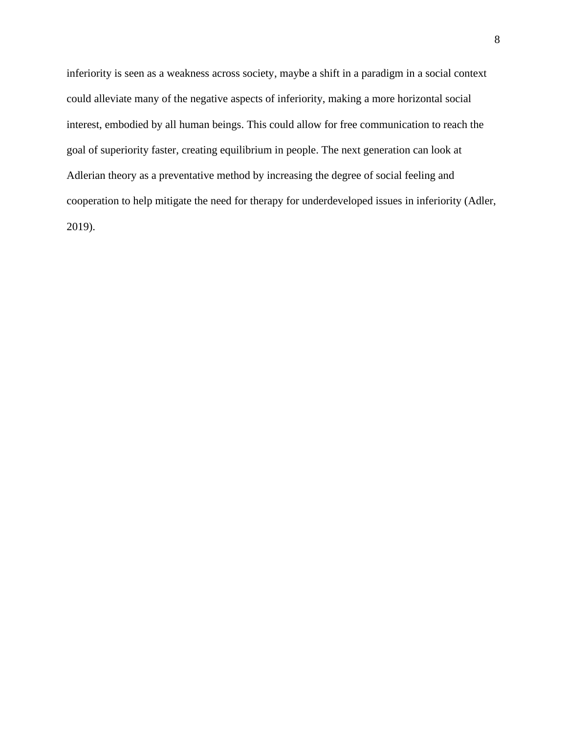inferiority is seen as a weakness across society, maybe a shift in a paradigm in a social context could alleviate many of the negative aspects of inferiority, making a more horizontal social interest, embodied by all human beings. This could allow for free communication to reach the goal of superiority faster, creating equilibrium in people. The next generation can look at Adlerian theory as a preventative method by increasing the degree of social feeling and cooperation to help mitigate the need for therapy for underdeveloped issues in inferiority (Adler, 2019).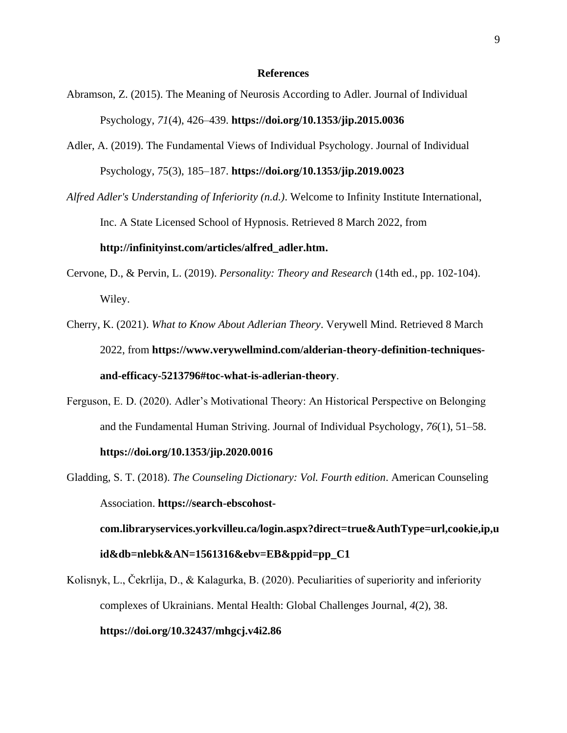#### **References**

- Abramson, Z. (2015). The Meaning of Neurosis According to Adler. Journal of Individual Psychology, *71*(4), 426–439. **https://doi.org/10.1353/jip.2015.0036**
- Adler, A. (2019). The Fundamental Views of Individual Psychology. Journal of Individual Psychology, 75(3), 185–187. **<https://doi.org/10.1353/jip.2019.0023>**

*Alfred Adler's Understanding of Inferiority (n.d.)*. Welcome to Infinity Institute International, Inc. A State Licensed School of Hypnosis. Retrieved 8 March 2022, from **[http://infinityinst.com/articles/alfred\\_adler.htm.](http://infinityinst.com/articles/alfred_adler.htm)**

- Cervone, D., & Pervin, L. (2019). *Personality: Theory and Research* (14th ed., pp. 102-104). Wiley.
- Cherry, K. (2021). *What to Know About Adlerian Theory*. Verywell Mind. Retrieved 8 March 2022, from **[https://www.verywellmind.com/alderian-theory-definition-techniques](https://www.verywellmind.com/alderian-theory-definition-techniques-and-efficacy-5213796#toc-what-is-adlerian-theory)[and-efficacy-5213796#toc-what-is-adlerian-theory](https://www.verywellmind.com/alderian-theory-definition-techniques-and-efficacy-5213796#toc-what-is-adlerian-theory)**.
- Ferguson, E. D. (2020). Adler's Motivational Theory: An Historical Perspective on Belonging and the Fundamental Human Striving. Journal of Individual Psychology, *76*(1), 51–58.

## **<https://doi.org/10.1353/jip.2020.0016>**

Gladding, S. T. (2018). *The Counseling Dictionary: Vol. Fourth edition*. American Counseling Association. **[https://search-ebscohost-](https://search-ebscohost-com.libraryservices.yorkvilleu.ca/login.aspx?direct=true&AuthType=url,cookie,ip,uid&db=nlebk&AN=1561316&ebv=EB&ppid=pp_C1)**

**[com.libraryservices.yorkvilleu.ca/login.aspx?direct=true&AuthType=url,cookie,ip,u](https://search-ebscohost-com.libraryservices.yorkvilleu.ca/login.aspx?direct=true&AuthType=url,cookie,ip,uid&db=nlebk&AN=1561316&ebv=EB&ppid=pp_C1) [id&db=nlebk&AN=1561316&ebv=EB&ppid=pp\\_C1](https://search-ebscohost-com.libraryservices.yorkvilleu.ca/login.aspx?direct=true&AuthType=url,cookie,ip,uid&db=nlebk&AN=1561316&ebv=EB&ppid=pp_C1)**

Kolisnyk, L., Čekrlija, D., & Kalagurka, B. (2020). Peculiarities of superiority and inferiority complexes of Ukrainians. Mental Health: Global Challenges Journal, *4*(2), 38.

# **<https://doi.org/10.32437/mhgcj.v4i2.86>**